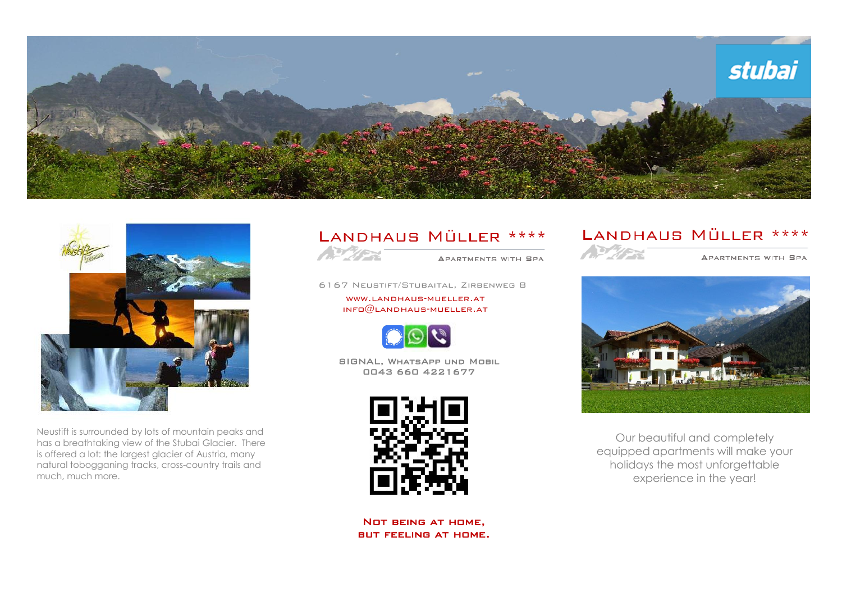



Neustift is surrounded by lots of mountain peaks and has a breathtaking view of the Stubai Glacier. There is offered a lot: the largest glacier of Austria, many natural tobogganing tracks, cross-country trails and much, much more.

# LANDHAUS MÜLLER \*\*\*\*



APARTMENTS WITH SPA

6167 Neustift/Stubaital, Zirbenweg 8

[www.landhaus-mueller.at](http://www.landhaus-mueller.at/)  $INFO@$ LANDHAUS-MUELLER.AT



SIGNAL, WhatsApp und Mobil 0043 660 4221677



Not being at home, but feeling at home.

# LANDHAUS MÜLLER \*\*\*\*



#### APARTMENTS WITH SPA



Our beautiful and completely equipped apartments will make your holidays the most unforgettable experience in the year!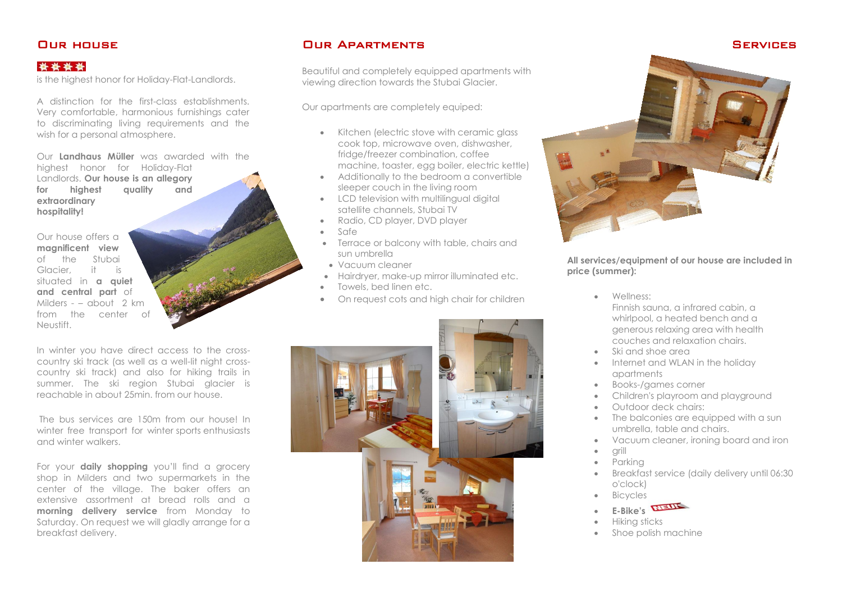# Our house

### \*\*\*\*

is the highest honor for Holiday-Flat-Landlords.

A distinction for the first-class establishments. Very comfortable, harmonious furnishings cater to discriminating living requirements and the wish for a personal atmosphere.

Our **Landhaus Müller** was awarded with the highest honor for Holiday-Flat Landlords. **Our house is an allegory for highest quality and extraordinary hospitality!**

Our house offers a **magnificent view** of the Stubai Glacier, it is situated in **a quiet and central part** of Milders - – about 2 km from the center of Neustift.

In winter you have direct access to the crosscountry ski track (as well as a well-lit night crosscountry ski track) and also for hiking trails in summer. The ski region Stubai glacier is reachable in about 25min. from our house.

The bus services are 150m from our house! In winter free transport for winter sports enthusiasts and winter walkers.

For your **daily shopping** you'll find a grocery shop in Milders and two supermarkets in the center of the village. The baker offers an extensive assortment at bread rolls and a **morning delivery service** from Monday to Saturday. On request we will gladly arrange for a breakfast delivery.

# Our Apartments

Beautiful and completely equipped apartments with viewing direction towards the Stubai Glacier.

Our apartments are completely equiped:

- Kitchen (electric stove with ceramic alass cook top, microwave oven, dishwasher, fridge/freezer combination, coffee machine, toaster, egg boiler, electric kettle)
- Additionally to the bedroom a convertible sleeper couch in the living room
- LCD television with multilingual digital satellite channels, Stubai TV
- Radio, CD player, DVD player
- $\bullet$  Safe
- Terrace or balcony with table, chairs and sun umbrella
- Vacuum cleaner
- Hairdryer, make-up mirror illuminated etc.
- Towels, bed linen etc.
- On request cots and high chair for children





#### **All services/equipment of our house are included in price (summer):**

- Wellness: Finnish sauna, a infrared cabin, a whirlpool, a heated bench and a generous relaxing area with health couches and relaxation chairs.
- Ski and shoe area
- Internet and WLAN in the holiday apartments
- Books-/games corner
- Children's playroom and playground
- Outdoor deck chairs:
- The balconies are eauipped with a sun umbrella, table and chairs.
- Vacuum cleaner, ironing board and iron
- grill
- Parking
- Breakfast service (daily delivery until 06:30 o'clock)
- Bicycles
	- **E-Bike's**
- Hiking sticks
- Shoe polish machine